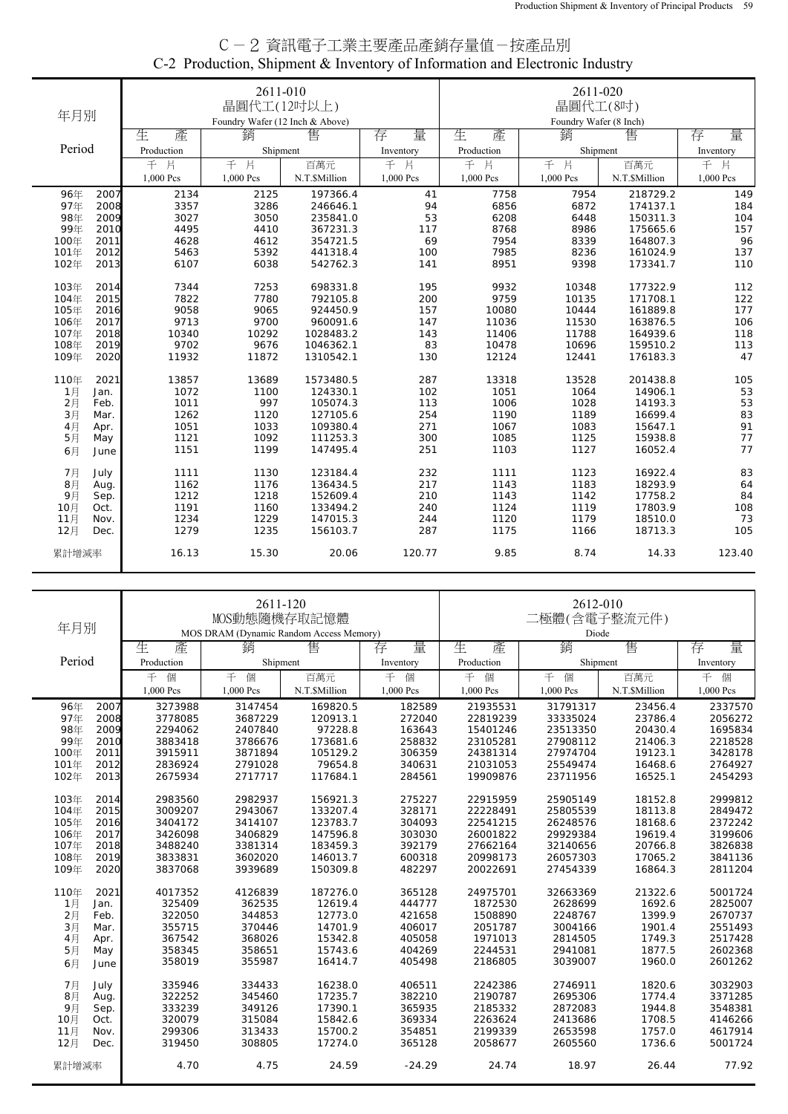| C-2 資訊電子工業主要產品產銷存量值-按產品別                                                    |  |
|-----------------------------------------------------------------------------|--|
| C-2 Production, Shipment & Inventory of Information and Electronic Industry |  |

| 年月別    |      |            | 2611-010<br>晶圓代工(12吋以上)<br>Foundry Wafer (12 Inch & Above) |               |           | 2611-020<br>晶圓代工(8吋)<br>Foundry Wafer (8 Inch) |           |               |           |
|--------|------|------------|------------------------------------------------------------|---------------|-----------|------------------------------------------------|-----------|---------------|-----------|
|        |      | 生<br>產     | 銷                                                          | 售             | 量<br>存    | 生<br>產                                         | 銷         | 售             | 量<br>存    |
| Period |      | Production | Shipment                                                   |               | Inventory | Production                                     | Shipment  |               | Inventory |
|        |      | 千片         | 千片                                                         | 百萬元           | 千片        | 千片                                             | 千片        | 百萬元           | 千片        |
|        |      | 1,000 Pcs  | 1,000 Pcs                                                  | N.T.\$Million | 1,000 Pcs | 1,000 Pcs                                      | 1,000 Pcs | N.T.\$Million | 1,000 Pcs |
| 96年    | 2007 | 2134       | 2125                                                       | 197366.4      | 41        | 7758                                           | 7954      | 218729.2      | 149       |
| 97年    | 2008 | 3357       | 3286                                                       | 246646.1      | 94        | 6856                                           | 6872      | 174137.1      | 184       |
| 98年    | 2009 | 3027       | 3050                                                       | 235841.0      | 53        | 6208                                           | 6448      | 150311.3      | 104       |
| 99年    | 2010 | 4495       | 4410                                                       | 367231.3      | 117       | 8768                                           | 8986      | 175665.6      | 157       |
| 100年   | 2011 | 4628       | 4612                                                       | 354721.5      | 69        | 7954                                           | 8339      | 164807.3      | 96        |
| 101年   | 2012 | 5463       | 5392                                                       | 441318.4      | 100       | 7985                                           | 8236      | 161024.9      | 137       |
| 102年   | 2013 | 6107       | 6038                                                       | 542762.3      | 141       | 8951                                           | 9398      | 173341.7      | 110       |
| 103年   | 2014 | 7344       | 7253                                                       | 698331.8      | 195       | 9932                                           | 10348     | 177322.9      | 112       |
| 104年   | 2015 | 7822       | 7780                                                       | 792105.8      | 200       | 9759                                           | 10135     | 171708.1      | 122       |
| 105年   | 2016 | 9058       | 9065                                                       | 924450.9      | 157       | 10080                                          | 10444     | 161889.8      | 177       |
| 106年   | 2017 | 9713       | 9700                                                       | 960091.6      | 147       | 11036                                          | 11530     | 163876.5      | 106       |
| 107年   | 2018 | 10340      | 10292                                                      | 1028483.2     | 143       | 11406                                          | 11788     | 164939.6      | 118       |
| 108年   | 2019 | 9702       | 9676                                                       | 1046362.1     | 83        | 10478                                          | 10696     | 159510.2      | 113       |
| 109年   | 2020 | 11932      | 11872                                                      | 1310542.1     | 130       | 12124                                          | 12441     | 176183.3      | 47        |
| 110年   | 2021 | 13857      | 13689                                                      | 1573480.5     | 287       | 13318                                          | 13528     | 201438.8      | 105       |
| 1月     | Jan. | 1072       | 1100                                                       | 124330.1      | 102       | 1051                                           | 1064      | 14906.1       | 53        |
| 2月     | Feb. | 1011       | 997                                                        | 105074.3      | 113       | 1006                                           | 1028      | 14193.3       | 53        |
| 3月     | Mar. | 1262       | 1120                                                       | 127105.6      | 254       | 1190                                           | 1189      | 16699.4       | 83        |
| 4月     | Apr. | 1051       | 1033                                                       | 109380.4      | 271       | 1067                                           | 1083      | 15647.1       | 91        |
| 5月     | May  | 1121       | 1092                                                       | 111253.3      | 300       | 1085                                           | 1125      | 15938.8       | 77        |
| 6月     | June | 1151       | 1199                                                       | 147495.4      | 251       | 1103                                           | 1127      | 16052.4       | 77        |
| 7月     | July | 1111       | 1130                                                       | 123184.4      | 232       | 1111                                           | 1123      | 16922.4       | 83        |
| 8月     | Aug. | 1162       | 1176                                                       | 136434.5      | 217       | 1143                                           | 1183      | 18293.9       | 64        |
| 9月     | Sep. | 1212       | 1218                                                       | 152609.4      | 210       | 1143                                           | 1142      | 17758.2       | 84        |
| 10月    | Oct. | 1191       | 1160                                                       | 133494.2      | 240       | 1124                                           | 1119      | 17803.9       | 108       |
| 11月    | Nov. | 1234       | 1229                                                       | 147015.3      | 244       | 1120                                           | 1179      | 18510.0       | 73        |
| 12月    | Dec. | 1279       | 1235                                                       | 156103.7      | 287       | 1175                                           | 1166      | 18713.3       | 105       |
| 累計增減率  |      | 16.13      | 15.30                                                      | 20.06         | 120.77    | 9.85                                           | 8.74      | 14.33         | 123.40    |

| 年月別    | 2611-120<br>2612-010<br>MOS動態隨機存取記憶體<br>二極體(含電子整流元件)<br>MOS DRAM (Dynamic Random Access Memory)<br>Diode |            |           |               |           |            |           |               |           |
|--------|----------------------------------------------------------------------------------------------------------|------------|-----------|---------------|-----------|------------|-----------|---------------|-----------|
|        |                                                                                                          | 生<br>產     | 銷         | 售             | 量<br>存    | 生<br>產     | 銷         | 售             | 量<br>存    |
| Period |                                                                                                          | Production | Shipment  |               | Inventory | Production | Shipment  |               | Inventory |
|        |                                                                                                          | 個<br>千     | 千<br>個    | 百萬元           | 千<br>個    | 個<br>千     | 千<br>個    | 百萬元           | 千<br>個    |
|        |                                                                                                          | 1,000 Pcs  | 1,000 Pcs | N.T.\$Million | 1,000 Pcs | 1,000 Pcs  | 1,000 Pcs | N.T.\$Million | 1,000 Pcs |
| 96年    | 2007                                                                                                     | 3273988    | 3147454   | 169820.5      | 182589    | 21935531   | 31791317  | 23456.4       | 2337570   |
| 97年    | 2008                                                                                                     | 3778085    | 3687229   | 120913.1      | 272040    | 22819239   | 33335024  | 23786.4       | 2056272   |
| 98年    | 2009                                                                                                     | 2294062    | 2407840   | 97228.8       | 163643    | 15401246   | 23513350  | 20430.4       | 1695834   |
| 99年    | 2010                                                                                                     | 3883418    | 3786676   | 173681.6      | 258832    | 23105281   | 27908112  | 21406.3       | 2218528   |
| 100年   | 2011                                                                                                     | 3915911    | 3871894   | 105129.2      | 306359    | 24381314   | 27974704  | 19123.1       | 3428178   |
| 101年   | 2012                                                                                                     | 2836924    | 2791028   | 79654.8       | 340631    | 21031053   | 25549474  | 16468.6       | 2764927   |
| 102年   | 2013                                                                                                     | 2675934    | 2717717   | 117684.1      | 284561    | 19909876   | 23711956  | 16525.1       | 2454293   |
| 103年   | 2014                                                                                                     | 2983560    | 2982937   | 156921.3      | 275227    | 22915959   | 25905149  | 18152.8       | 2999812   |
| 104年   | 2015                                                                                                     | 3009207    | 2943067   | 133207.4      | 328171    | 22228491   | 25805539  | 18113.8       | 2849472   |
| 105年   | 2016                                                                                                     | 3404172    | 3414107   | 123783.7      | 304093    | 22541215   | 26248576  | 18168.6       | 2372242   |
| 106年   | 2017                                                                                                     | 3426098    | 3406829   | 147596.8      | 303030    | 26001822   | 29929384  | 19619.4       | 3199606   |
| 107年   | 2018                                                                                                     | 3488240    | 3381314   | 183459.3      | 392179    | 27662164   | 32140656  | 20766.8       | 3826838   |
| 108年   | 2019                                                                                                     | 3833831    | 3602020   | 146013.7      | 600318    | 20998173   | 26057303  | 17065.2       | 3841136   |
| 109年   | 2020                                                                                                     | 3837068    | 3939689   | 150309.8      | 482297    | 20022691   | 27454339  | 16864.3       | 2811204   |
| 110年   | 2021                                                                                                     | 4017352    | 4126839   | 187276.0      | 365128    | 24975701   | 32663369  | 21322.6       | 5001724   |
| 1月     | Jan.                                                                                                     | 325409     | 362535    | 12619.4       | 444777    | 1872530    | 2628699   | 1692.6        | 2825007   |
| 2月     | Feb.                                                                                                     | 322050     | 344853    | 12773.0       | 421658    | 1508890    | 2248767   | 1399.9        | 2670737   |
| 3月     | Mar.                                                                                                     | 355715     | 370446    | 14701.9       | 406017    | 2051787    | 3004166   | 1901.4        | 2551493   |
| 4月     | Apr.                                                                                                     | 367542     | 368026    | 15342.8       | 405058    | 1971013    | 2814505   | 1749.3        | 2517428   |
| 5月     | May                                                                                                      | 358345     | 358651    | 15743.6       | 404269    | 2244531    | 2941081   | 1877.5        | 2602368   |
| 6月     | June                                                                                                     | 358019     | 355987    | 16414.7       | 405498    | 2186805    | 3039007   | 1960.0        | 2601262   |
| 7月     | July                                                                                                     | 335946     | 334433    | 16238.0       | 406511    | 2242386    | 2746911   | 1820.6        | 3032903   |
| 8月     | Aug.                                                                                                     | 322252     | 345460    | 17235.7       | 382210    | 2190787    | 2695306   | 1774.4        | 3371285   |
| 9月     | Sep.                                                                                                     | 333239     | 349126    | 17390.1       | 365935    | 2185332    | 2872083   | 1944.8        | 3548381   |
| 10月    | Oct.                                                                                                     | 320079     | 315084    | 15842.6       | 369334    | 2263624    | 2413686   | 1708.5        | 4146266   |
| 11月    | Nov.                                                                                                     | 299306     | 313433    | 15700.2       | 354851    | 2199339    | 2653598   | 1757.0        | 4617914   |
| 12月    | Dec.                                                                                                     | 319450     | 308805    | 17274.0       | 365128    | 2058677    | 2605560   | 1736.6        | 5001724   |
| 累計增減率  |                                                                                                          | 4.70       | 4.75      | 24.59         | $-24.29$  | 24.74      | 18.97     | 26.44         | 77.92     |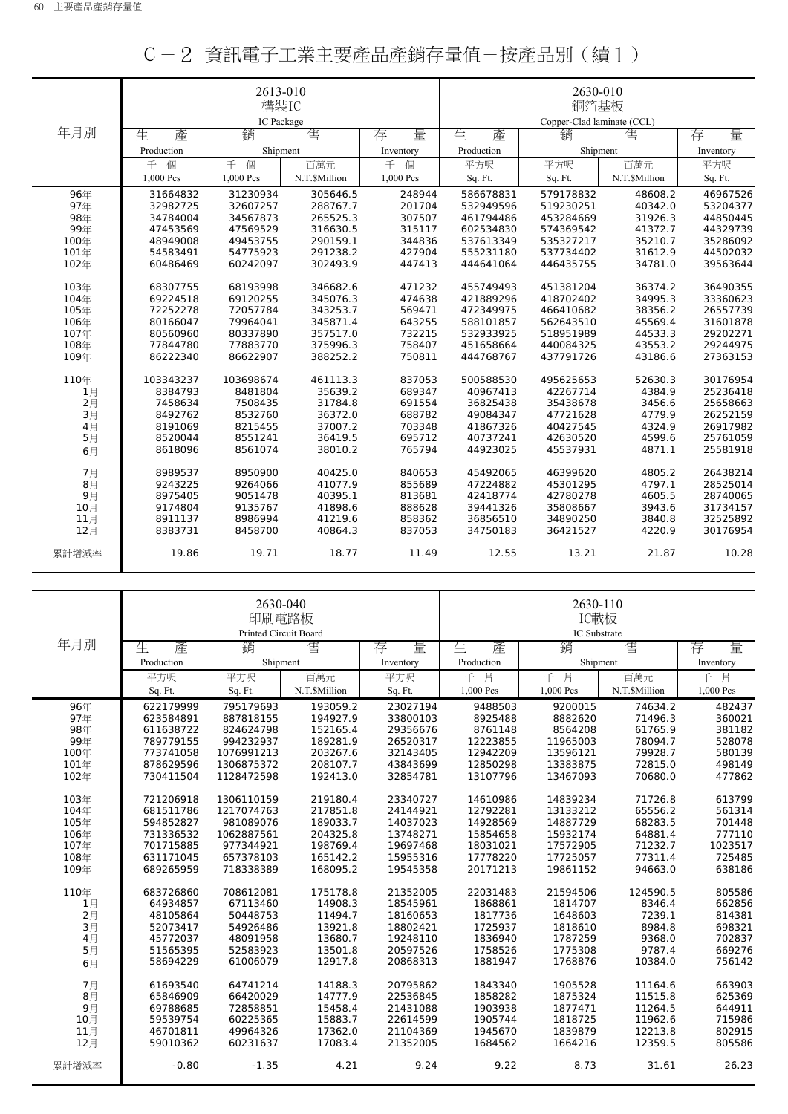|       |            | 2613-010   |               |           |            | 2630-010                   |               |           |  |
|-------|------------|------------|---------------|-----------|------------|----------------------------|---------------|-----------|--|
|       |            | 構裝IC       |               |           | 銅箔基板       |                            |               |           |  |
|       |            | IC Package |               |           |            | Copper-Clad laminate (CCL) |               |           |  |
| 年月別   | 生<br>產     | 銷          | 售             | 量<br>存    | 生<br>產     | 銷                          | 售             | 量<br>存    |  |
|       | Production | Shipment   |               | Inventory | Production | Shipment                   |               | Inventory |  |
|       | 千<br>個     | 千<br>個     | 百萬元           | 千<br>個    | 平方呎        | 平方呎                        | 百萬元           | 平方呎       |  |
|       | 1,000 Pcs  | 1,000 Pcs  | N.T.\$Million | 1,000 Pcs | Sq. Ft.    | Sq. Ft.                    | N.T.\$Million | Sq. Ft.   |  |
| 96年   | 31664832   | 31230934   | 305646.5      | 248944    | 586678831  | 579178832                  | 48608.2       | 46967526  |  |
| 97年   | 32982725   | 32607257   | 288767.7      | 201704    | 532949596  | 519230251                  | 40342.0       | 53204377  |  |
| 98年   | 34784004   | 34567873   | 265525.3      | 307507    | 461794486  | 453284669                  | 31926.3       | 44850445  |  |
| 99年   | 47453569   | 47569529   | 316630.5      | 315117    | 602534830  | 574369542                  | 41372.7       | 44329739  |  |
| 100年  | 48949008   | 49453755   | 290159.1      | 344836    | 537613349  | 535327217                  | 35210.7       | 35286092  |  |
| 101年  | 54583491   | 54775923   | 291238.2      | 427904    | 555231180  | 537734402                  | 31612.9       | 44502032  |  |
| 102年  | 60486469   | 60242097   | 302493.9      | 447413    | 444641064  | 446435755                  | 34781.0       | 39563644  |  |
| 103年  | 68307755   | 68193998   | 346682.6      | 471232    | 455749493  | 451381204                  | 36374.2       | 36490355  |  |
| 104年  | 69224518   | 69120255   | 345076.3      | 474638    | 421889296  | 418702402                  | 34995.3       | 33360623  |  |
| 105年  | 72252278   | 72057784   | 343253.7      | 569471    | 472349975  | 466410682                  | 38356.2       | 26557739  |  |
| 106年  | 80166047   | 79964041   | 345871.4      | 643255    | 588101857  | 562643510                  | 45569.4       | 31601878  |  |
| 107年  | 80560960   | 80337890   | 357517.0      | 732215    | 532933925  | 518951989                  | 44533.3       | 29202271  |  |
| 108年  | 77844780   | 77883770   | 375996.3      | 758407    | 451658664  | 440084325                  | 43553.2       | 29244975  |  |
| 109年  | 86222340   | 86622907   | 388252.2      | 750811    | 444768767  | 437791726                  | 43186.6       | 27363153  |  |
| 110年  | 103343237  | 103698674  | 461113.3      | 837053    | 500588530  | 495625653                  | 52630.3       | 30176954  |  |
| 1月    | 8384793    | 8481804    | 35639.2       | 689347    | 40967413   | 42267714                   | 4384.9        | 25236418  |  |
| 2月    | 7458634    | 7508435    | 31784.8       | 691554    | 36825438   | 35438678                   | 3456.6        | 25658663  |  |
| 3月    | 8492762    | 8532760    | 36372.0       | 688782    | 49084347   | 47721628                   | 4779.9        | 26252159  |  |
| 4月    | 8191069    | 8215455    | 37007.2       | 703348    | 41867326   | 40427545                   | 4324.9        | 26917982  |  |
| 5月    | 8520044    | 8551241    | 36419.5       | 695712    | 40737241   | 42630520                   | 4599.6        | 25761059  |  |
| 6月    | 8618096    | 8561074    | 38010.2       | 765794    | 44923025   | 45537931                   | 4871.1        | 25581918  |  |
| 7月    | 8989537    | 8950900    | 40425.0       | 840653    | 45492065   | 46399620                   | 4805.2        | 26438214  |  |
| 8月    | 9243225    | 9264066    | 41077.9       | 855689    | 47224882   | 45301295                   | 4797.1        | 28525014  |  |
| 9月    | 8975405    | 9051478    | 40395.1       | 813681    | 42418774   | 42780278                   | 4605.5        | 28740065  |  |
| 10月   | 9174804    | 9135767    | 41898.6       | 888628    | 39441326   | 35808667                   | 3943.6        | 31734157  |  |
| 11月   | 8911137    | 8986994    | 41219.6       | 858362    | 36856510   | 34890250                   | 3840.8        | 32525892  |  |
| 12月   | 8383731    | 8458700    | 40864.3       | 837053    | 34750183   | 36421527                   | 4220.9        | 30176954  |  |
| 累計增減率 | 19.86      | 19.71      | 18.77         | 11.49     | 12.55      | 13.21                      | 21.87         | 10.28     |  |

|  |  | C-2 資訊電子工業主要產品產銷存量值-按產品別(續1) |  |  |
|--|--|------------------------------|--|--|
|--|--|------------------------------|--|--|

|       |            | 2630-040<br>印刷電路板<br>Printed Circuit Board |               |           | 2630-110<br>IC載板<br>IC Substrate |           |               |           |
|-------|------------|--------------------------------------------|---------------|-----------|----------------------------------|-----------|---------------|-----------|
| 年月別   | 生.<br>產    | 銷                                          | 售             | 量<br>存    | 生<br>產                           | 銷         | 售             | 量<br>存    |
|       | Production | Shipment                                   |               | Inventory | Production                       | Shipment  |               | Inventory |
|       | 平方呎        | 平方呎                                        | 百萬元           | 平方呎       | 千<br>片                           | 千<br>片    | 百萬元           | 千片        |
|       | Sq. Ft.    | Sq. Ft.                                    | N.T.\$Million | Sq. Ft.   | 1,000 Pcs                        | 1,000 Pcs | N.T.\$Million | 1,000 Pcs |
| 96年   | 622179999  | 795179693                                  | 193059.2      | 23027194  | 9488503                          | 9200015   | 74634.2       | 482437    |
| 97年   | 623584891  | 887818155                                  | 194927.9      | 33800103  | 8925488                          | 8882620   | 71496.3       | 360021    |
| 98年   | 611638722  | 824624798                                  | 152165.4      | 29356676  | 8761148                          | 8564208   | 61765.9       | 381182    |
| 99年   | 789779155  | 994232937                                  | 189281.9      | 26520317  | 12223855                         | 11965003  | 78094.7       | 528078    |
| 100年  | 773741058  | 1076991213                                 | 203267.6      | 32143405  | 12942209                         | 13596121  | 79928.7       | 580139    |
| 101年  | 878629596  | 1306875372                                 | 208107.7      | 43843699  | 12850298                         | 13383875  | 72815.0       | 498149    |
| 102年  | 730411504  | 1128472598                                 | 192413.0      | 32854781  | 13107796                         | 13467093  | 70680.0       | 477862    |
| 103年  | 721206918  | 1306110159                                 | 219180.4      | 23340727  | 14610986                         | 14839234  | 71726.8       | 613799    |
| 104年  | 681511786  | 1217074763                                 | 217851.8      | 24144921  | 12792281                         | 13133212  | 65556.2       | 561314    |
| 105年  | 594852827  | 981089076                                  | 189033.7      | 14037023  | 14928569                         | 14887729  | 68283.5       | 701448    |
| 106年  | 731336532  | 1062887561                                 | 204325.8      | 13748271  | 15854658                         | 15932174  | 64881.4       | 777110    |
| 107年  | 701715885  | 977344921                                  | 198769.4      | 19697468  | 18031021                         | 17572905  | 71232.7       | 1023517   |
| 108年  | 631171045  | 657378103                                  | 165142.2      | 15955316  | 17778220                         | 17725057  | 77311.4       | 725485    |
| 109年  | 689265959  | 718338389                                  | 168095.2      | 19545358  | 20171213                         | 19861152  | 94663.0       | 638186    |
| 110年  | 683726860  | 708612081                                  | 175178.8      | 21352005  | 22031483                         | 21594506  | 124590.5      | 805586    |
| 1月    | 64934857   | 67113460                                   | 14908.3       | 18545961  | 1868861                          | 1814707   | 8346.4        | 662856    |
| 2月    | 48105864   | 50448753                                   | 11494.7       | 18160653  | 1817736                          | 1648603   | 7239.1        | 814381    |
| 3月    | 52073417   | 54926486                                   | 13921.8       | 18802421  | 1725937                          | 1818610   | 8984.8        | 698321    |
| 4月    | 45772037   | 48091958                                   | 13680.7       | 19248110  | 1836940                          | 1787259   | 9368.0        | 702837    |
| 5月    | 51565395   | 52583923                                   | 13501.8       | 20597526  | 1758526                          | 1775308   | 9787.4        | 669276    |
| 6月    | 58694229   | 61006079                                   | 12917.8       | 20868313  | 1881947                          | 1768876   | 10384.0       | 756142    |
| 7月    | 61693540   | 64741214                                   | 14188.3       | 20795862  | 1843340                          | 1905528   | 11164.6       | 663903    |
| 8月    | 65846909   | 66420029                                   | 14777.9       | 22536845  | 1858282                          | 1875324   | 11515.8       | 625369    |
| 9月    | 69788685   | 72858851                                   | 15458.4       | 21431088  | 1903938                          | 1877471   | 11264.5       | 644911    |
| 10月   | 59539754   | 60225365                                   | 15883.7       | 22614599  | 1905744                          | 1818725   | 11962.6       | 715986    |
| 11月   | 46701811   | 49964326                                   | 17362.0       | 21104369  | 1945670                          | 1839879   | 12213.8       | 802915    |
| 12月   | 59010362   | 60231637                                   | 17083.4       | 21352005  | 1684562                          | 1664216   | 12359.5       | 805586    |
| 累計增減率 | $-0.80$    | $-1.35$                                    | 4.21          | 9.24      | 9.22                             | 8.73      | 31.61         | 26.23     |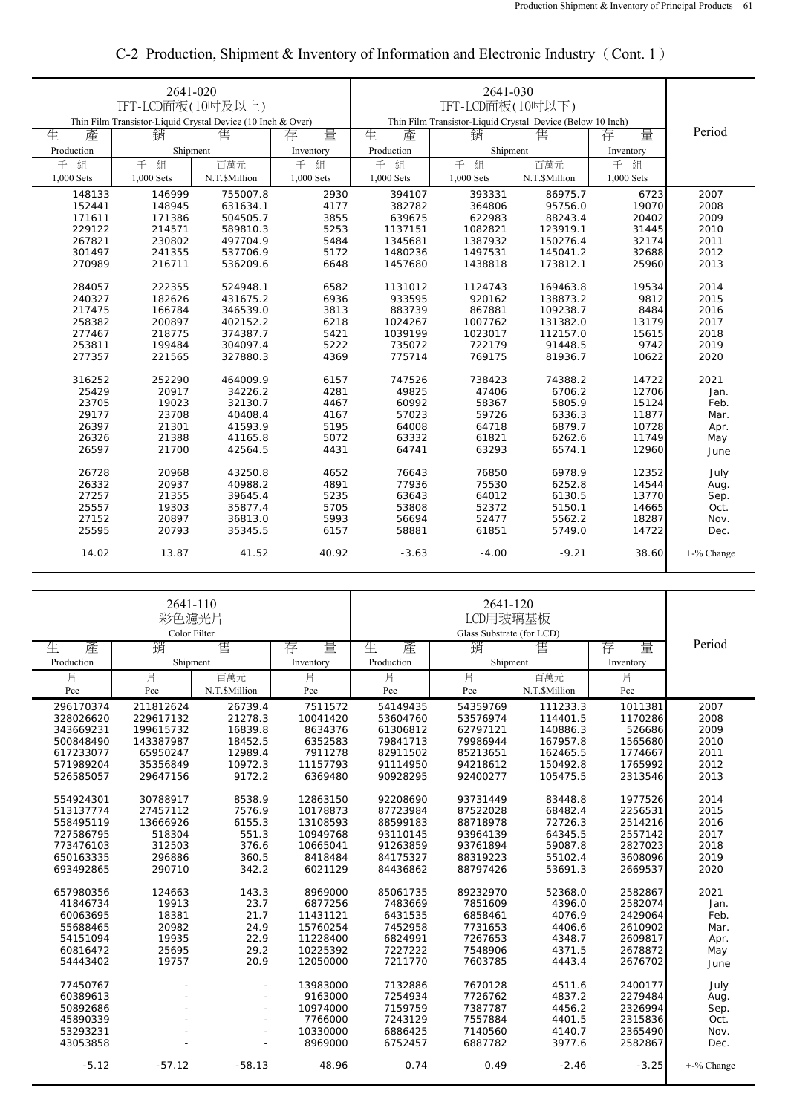|            | 2641-020                                                    |               |            |                                                            |            |               |            |               |
|------------|-------------------------------------------------------------|---------------|------------|------------------------------------------------------------|------------|---------------|------------|---------------|
|            | TFT-LCD面板(10吋及以上)                                           |               |            |                                                            |            |               |            |               |
|            | Thin Film Transistor-Liquid Crystal Device (10 Inch & Over) |               |            | Thin Film Transistor-Liquid Crystal Device (Below 10 Inch) |            |               |            |               |
| 生<br>產     | 銷                                                           | 售             | 量<br>存     | 生<br>產                                                     | 量<br>存     | Period        |            |               |
| Production |                                                             |               |            |                                                            | 銷          | 售             |            |               |
|            | Shipment                                                    |               | Inventory  | Production                                                 | Shipment   |               | Inventory  |               |
| 組<br>千     | 千<br>組                                                      | 百萬元           | 千<br>組     | 千<br>組                                                     | 千<br>組     | 百萬元           | 千<br>組     |               |
| 1,000 Sets | 1,000 Sets                                                  | N.T.\$Million | 1,000 Sets | 1,000 Sets                                                 | 1,000 Sets | N.T.\$Million | 1,000 Sets |               |
| 148133     | 146999                                                      | 755007.8      | 2930       | 394107                                                     | 393331     | 86975.7       | 6723       | 2007          |
| 152441     | 148945                                                      | 631634.1      | 4177       | 382782                                                     | 364806     | 95756.0       | 19070      | 2008          |
| 171611     | 171386                                                      | 504505.7      | 3855       | 639675                                                     | 622983     | 88243.4       | 20402      | 2009          |
| 229122     | 214571                                                      | 589810.3      | 5253       | 1137151                                                    | 1082821    | 123919.1      | 31445      | 2010          |
| 267821     | 230802                                                      | 497704.9      | 5484       | 1345681                                                    | 1387932    | 150276.4      | 32174      | 2011          |
| 301497     | 241355                                                      | 537706.9      | 5172       | 1480236                                                    | 1497531    | 145041.2      | 32688      | 2012          |
| 270989     | 216711                                                      | 536209.6      | 6648       | 1457680                                                    | 1438818    | 173812.1      | 25960      | 2013          |
|            |                                                             |               |            |                                                            |            |               |            |               |
| 284057     | 222355                                                      | 524948.1      | 6582       | 1131012                                                    | 1124743    | 169463.8      | 19534      | 2014          |
| 240327     | 182626                                                      | 431675.2      | 6936       | 933595                                                     | 920162     | 138873.2      | 9812       | 2015          |
| 217475     | 166784                                                      | 346539.0      | 3813       | 883739                                                     | 867881     | 109238.7      | 8484       | 2016          |
| 258382     | 200897                                                      | 402152.2      | 6218       | 1024267                                                    | 1007762    | 131382.0      | 13179      | 2017          |
| 277467     | 218775                                                      | 374387.7      | 5421       | 1039199                                                    | 1023017    | 112157.0      | 15615      | 2018          |
| 253811     | 199484                                                      | 304097.4      | 5222       | 735072                                                     | 722179     | 91448.5       | 9742       | 2019          |
| 277357     | 221565                                                      | 327880.3      | 4369       | 775714                                                     | 769175     | 81936.7       | 10622      | 2020          |
|            |                                                             |               |            |                                                            |            |               |            |               |
| 316252     | 252290                                                      | 464009.9      | 6157       | 747526                                                     | 738423     | 74388.2       | 14722      | 2021          |
| 25429      | 20917                                                       | 34226.2       | 4281       | 49825                                                      | 47406      | 6706.2        | 12706      | Jan.          |
| 23705      | 19023                                                       | 32130.7       | 4467       | 60992                                                      | 58367      | 5805.9        | 15124      | Feb.          |
| 29177      | 23708                                                       | 40408.4       | 4167       | 57023                                                      | 59726      | 6336.3        | 11877      | Mar.          |
| 26397      | 21301                                                       | 41593.9       | 5195       | 64008                                                      | 64718      | 6879.7        | 10728      | Apr.          |
| 26326      | 21388                                                       | 41165.8       | 5072       | 63332                                                      | 61821      | 6262.6        | 11749      | May           |
| 26597      | 21700                                                       | 42564.5       | 4431       | 64741                                                      | 63293      | 6574.1        | 12960      | June          |
|            |                                                             |               |            |                                                            |            |               |            |               |
| 26728      | 20968                                                       | 43250.8       | 4652       | 76643                                                      | 76850      | 6978.9        | 12352      | July          |
| 26332      | 20937                                                       | 40988.2       | 4891       | 77936                                                      | 75530      | 6252.8        | 14544      | Aug.          |
| 27257      | 21355                                                       | 39645.4       | 5235       | 63643                                                      | 64012      | 6130.5        | 13770      | Sep.          |
| 25557      | 19303                                                       | 35877.4       | 5705       | 53808                                                      | 52372      | 5150.1        | 14665      | Oct.          |
| 27152      | 20897                                                       | 36813.0       | 5993       | 56694                                                      | 52477      | 5562.2        | 18287      | Nov.          |
| 25595      | 20793                                                       | 35345.5       | 6157       | 58881                                                      | 61851      | 5749.0        | 14722      | Dec.          |
| 14.02      | 13.87                                                       | 41.52         | 40.92      | $-3.63$                                                    | $-4.00$    | $-9.21$       | 38.60      | $+$ -% Change |
|            |                                                             |               |            |                                                            |            |               |            |               |

## C-2 Production, Shipment & Inventory of Information and Electronic Industry(Cont. 1)

|            |           | 2641-110<br>2641-120<br>彩色濾光片<br>LCD用玻璃基板<br>Color Filter<br>Glass Substrate (for LCD) |           |            |          |               |           |            |
|------------|-----------|----------------------------------------------------------------------------------------|-----------|------------|----------|---------------|-----------|------------|
| 生<br>產     | 銷         | 售                                                                                      | 量<br>存    | 生<br>產     | 銷        | 售             | 量<br>存    | Period     |
| Production | Shipment  |                                                                                        | Inventory | Production | Shipment |               | Inventory |            |
| 片          | 片         | 百萬元                                                                                    | 片         | 片          | 片        | 百萬元           | 片         |            |
| Pce        | Pce       | N.T.\$Million                                                                          | Pce       | Pce        | Pce      | N.T.\$Million | Pce       |            |
| 296170374  | 211812624 | 26739.4                                                                                | 7511572   | 54149435   | 54359769 | 111233.3      | 1011381   | 2007       |
| 328026620  | 229617132 | 21278.3                                                                                | 10041420  | 53604760   | 53576974 | 114401.5      | 1170286   | 2008       |
| 343669231  | 199615732 | 16839.8                                                                                | 8634376   | 61306812   | 62797121 | 140886.3      | 526686    | 2009       |
| 500848490  | 143387987 | 18452.5                                                                                | 6352583   | 79841713   | 79986944 | 167957.8      | 1565680   | 2010       |
| 617233077  | 65950247  | 12989.4                                                                                | 7911278   | 82911502   | 85213651 | 162465.5      | 1774667   | 2011       |
| 571989204  | 35356849  | 10972.3                                                                                | 11157793  | 91114950   | 94218612 | 150492.8      | 1765992   | 2012       |
| 526585057  | 29647156  | 9172.2                                                                                 | 6369480   | 90928295   | 92400277 | 105475.5      | 2313546   | 2013       |
| 554924301  | 30788917  | 8538.9                                                                                 | 12863150  | 92208690   | 93731449 | 83448.8       | 1977526   | 2014       |
| 513137774  | 27457112  | 7576.9                                                                                 | 10178873  | 87723984   | 87522028 | 68482.4       | 2256531   | 2015       |
| 558495119  | 13666926  | 6155.3                                                                                 | 13108593  | 88599183   | 88718978 | 72726.3       | 2514216   | 2016       |
| 727586795  | 518304    | 551.3                                                                                  | 10949768  | 93110145   | 93964139 | 64345.5       | 2557142   | 2017       |
| 773476103  | 312503    | 376.6                                                                                  | 10665041  | 91263859   | 93761894 | 59087.8       | 2827023   | 2018       |
| 650163335  | 296886    | 360.5                                                                                  | 8418484   | 84175327   | 88319223 | 55102.4       | 3608096   | 2019       |
| 693492865  | 290710    | 342.2                                                                                  | 6021129   | 84436862   | 88797426 | 53691.3       | 2669537   | 2020       |
| 657980356  | 124663    | 143.3                                                                                  | 8969000   | 85061735   | 89232970 | 52368.0       | 2582867   | 2021       |
| 41846734   | 19913     | 23.7                                                                                   | 6877256   | 7483669    | 7851609  | 4396.0        | 2582074   | Jan.       |
| 60063695   | 18381     | 21.7                                                                                   | 11431121  | 6431535    | 6858461  | 4076.9        | 2429064   | Feb.       |
| 55688465   | 20982     | 24.9                                                                                   | 15760254  | 7452958    | 7731653  | 4406.6        | 2610902   | Mar.       |
| 54151094   | 19935     | 22.9                                                                                   | 11228400  | 6824991    | 7267653  | 4348.7        | 2609817   | Apr.       |
| 60816472   | 25695     | 29.2                                                                                   | 10225392  | 7227222    | 7548906  | 4371.5        | 2678872   | May        |
| 54443402   | 19757     | 20.9                                                                                   | 12050000  | 7211770    | 7603785  | 4443.4        | 2676702   | June       |
| 77450767   |           |                                                                                        | 13983000  | 7132886    | 7670128  | 4511.6        | 2400177   | July       |
| 60389613   |           | ä,                                                                                     | 9163000   | 7254934    | 7726762  | 4837.2        | 2279484   | Aug.       |
| 50892686   |           | ٠                                                                                      | 10974000  | 7159759    | 7387787  | 4456.2        | 2326994   | Sep.       |
| 45890339   |           | ٠                                                                                      | 7766000   | 7243129    | 7557884  | 4401.5        | 2315836   | Oct.       |
| 53293231   |           | ٠                                                                                      | 10330000  | 6886425    | 7140560  | 4140.7        | 2365490   | Nov.       |
| 43053858   |           | ä,                                                                                     | 8969000   | 6752457    | 6887782  | 3977.6        | 2582867   | Dec.       |
| $-5.12$    | $-57.12$  | $-58.13$                                                                               | 48.96     | 0.74       | 0.49     | $-2.46$       | $-3.25$   | +-% Change |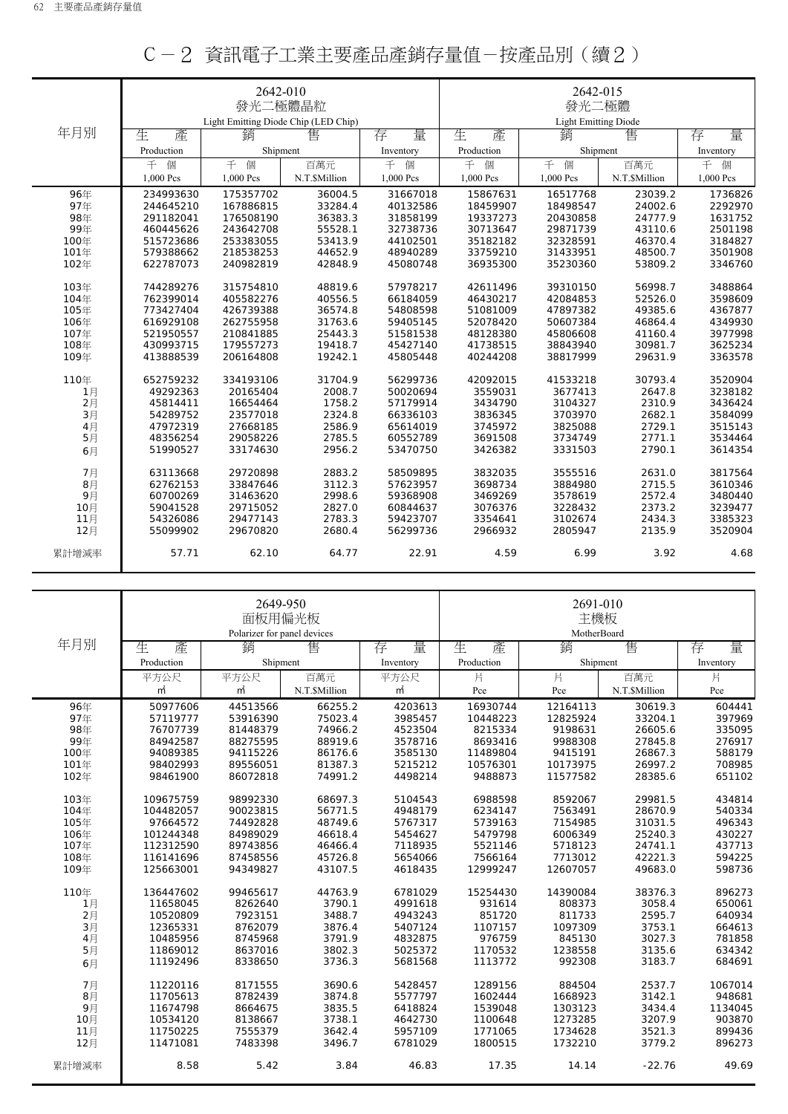|       |            | 2642-010<br>發光二極體晶粒<br>Light Emitting Diode Chip (LED Chip) |               |           | 2642-015<br>發光二極體<br><b>Light Emitting Diode</b> |           |               |           |
|-------|------------|-------------------------------------------------------------|---------------|-----------|--------------------------------------------------|-----------|---------------|-----------|
| 年月別   | 生<br>產     | 銷                                                           | 售             | 量<br>存    | 生<br>產                                           | 銷         | 售             | 量<br>存    |
|       | Production | Shipment                                                    |               | Inventory | Production                                       | Shipment  |               | Inventory |
|       | 千<br>個     | 千個                                                          | 百萬元           | 千<br>個    | 千<br>個                                           | 千<br>個    | 百萬元           | 千<br>個    |
|       | 1,000 Pcs  | 1,000 Pcs                                                   | N.T.\$Million | 1,000 Pcs | 1,000 Pcs                                        | 1,000 Pcs | N.T.\$Million | 1,000 Pcs |
| 96年   | 234993630  | 175357702                                                   | 36004.5       | 31667018  | 15867631                                         | 16517768  | 23039.2       | 1736826   |
| 97年   | 244645210  | 167886815                                                   | 33284.4       | 40132586  | 18459907                                         | 18498547  | 24002.6       | 2292970   |
| 98年   | 291182041  | 176508190                                                   | 36383.3       | 31858199  | 19337273                                         | 20430858  | 24777.9       | 1631752   |
| 99年   | 460445626  | 243642708                                                   | 55528.1       | 32738736  | 30713647                                         | 29871739  | 43110.6       | 2501198   |
| 100年  | 515723686  | 253383055                                                   | 53413.9       | 44102501  | 35182182                                         | 32328591  | 46370.4       | 3184827   |
| 101年  | 579388662  | 218538253                                                   | 44652.9       | 48940289  | 33759210                                         | 31433951  | 48500.7       | 3501908   |
| 102年  | 622787073  | 240982819                                                   | 42848.9       | 45080748  | 36935300                                         | 35230360  | 53809.2       | 3346760   |
| 103年  | 744289276  | 315754810                                                   | 48819.6       | 57978217  | 42611496                                         | 39310150  | 56998.7       | 3488864   |
| 104年  | 762399014  | 405582276                                                   | 40556.5       | 66184059  | 46430217                                         | 42084853  | 52526.0       | 3598609   |
| 105年  | 773427404  | 426739388                                                   | 36574.8       | 54808598  | 51081009                                         | 47897382  | 49385.6       | 4367877   |
| 106年  | 616929108  | 262755958                                                   | 31763.6       | 59405145  | 52078420                                         | 50607384  | 46864.4       | 4349930   |
| 107年  | 521950557  | 210841885                                                   | 25443.3       | 51581538  | 48128380                                         | 45806608  | 41160.4       | 3977998   |
| 108年  | 430993715  | 179557273                                                   | 19418.7       | 45427140  | 41738515                                         | 38843940  | 30981.7       | 3625234   |
| 109年  | 413888539  | 206164808                                                   | 19242.1       | 45805448  | 40244208                                         | 38817999  | 29631.9       | 3363578   |
| 110年  | 652759232  | 334193106                                                   | 31704.9       | 56299736  | 42092015                                         | 41533218  | 30793.4       | 3520904   |
| 1月    | 49292363   | 20165404                                                    | 2008.7        | 50020694  | 3559031                                          | 3677413   | 2647.8        | 3238182   |
| 2月    | 45814411   | 16654464                                                    | 1758.2        | 57179914  | 3434790                                          | 3104327   | 2310.9        | 3436424   |
| 3月    | 54289752   | 23577018                                                    | 2324.8        | 66336103  | 3836345                                          | 3703970   | 2682.1        | 3584099   |
| 4月    | 47972319   | 27668185                                                    | 2586.9        | 65614019  | 3745972                                          | 3825088   | 2729.1        | 3515143   |
| 5月    | 48356254   | 29058226                                                    | 2785.5        | 60552789  | 3691508                                          | 3734749   | 2771.1        | 3534464   |
| 6月    | 51990527   | 33174630                                                    | 2956.2        | 53470750  | 3426382                                          | 3331503   | 2790.1        | 3614354   |
| 7月    | 63113668   | 29720898                                                    | 2883.2        | 58509895  | 3832035                                          | 3555516   | 2631.0        | 3817564   |
| 8月    | 62762153   | 33847646                                                    | 3112.3        | 57623957  | 3698734                                          | 3884980   | 2715.5        | 3610346   |
| 9月    | 60700269   | 31463620                                                    | 2998.6        | 59368908  | 3469269                                          | 3578619   | 2572.4        | 3480440   |
| 10月   | 59041528   | 29715052                                                    | 2827.0        | 60844637  | 3076376                                          | 3228432   | 2373.2        | 3239477   |
| 11月   | 54326086   | 29477143                                                    | 2783.3        | 59423707  | 3354641                                          | 3102674   | 2434.3        | 3385323   |
| 12月   | 55099902   | 29670820                                                    | 2680.4        | 56299736  | 2966932                                          | 2805947   | 2135.9        | 3520904   |
| 累計增減率 | 57.71      | 62.10                                                       | 64.77         | 22.91     | 4.59                                             | 6.99      | 3.92          | 4.68      |

|  |  | C-2 資訊電子工業主要產品產銷存量值-按產品別(續2) |  |  |
|--|--|------------------------------|--|--|
|--|--|------------------------------|--|--|

|       |            | 2649-950<br>面板用偏光板          |               |           | 2691-010<br>主機板 |                  |               |           |
|-------|------------|-----------------------------|---------------|-----------|-----------------|------------------|---------------|-----------|
| 年月別   |            | Polarizer for panel devices |               |           |                 | MotherBoard<br>銷 |               |           |
|       | 生<br>產     | 銷                           | 售             | 量<br>存    | 生<br>產          |                  | 售             | 量<br>存    |
|       | Production | Shipment                    |               | Inventory | Production      | Shipment         |               | Inventory |
|       | 平方公尺       | 平方公尺                        | 百萬元           | 平方公尺      | 片               | 片                | 百萬元           | 片         |
|       | m          | $\mathsf{m}^2$              | N.T.\$Million | $m^2$     | Pce             | Pce              | N.T.\$Million | Pce       |
| 96年   | 50977606   | 44513566                    | 66255.2       | 4203613   | 16930744        | 12164113         | 30619.3       | 604441    |
| 97年   | 57119777   | 53916390                    | 75023.4       | 3985457   | 10448223        | 12825924         | 33204.1       | 397969    |
| 98年   | 76707739   | 81448379                    | 74966.2       | 4523504   | 8215334         | 9198631          | 26605.6       | 335095    |
| 99年   | 84942587   | 88275595                    | 88919.6       | 3578716   | 8693416         | 9988308          | 27845.8       | 276917    |
| 100年  | 94089385   | 94115226                    | 86176.6       | 3585130   | 11489804        | 9415191          | 26867.3       | 588179    |
| 101年  | 98402993   | 89556051                    | 81387.3       | 5215212   | 10576301        | 10173975         | 26997.2       | 708985    |
| 102年  | 98461900   | 86072818                    | 74991.2       | 4498214   | 9488873         | 11577582         | 28385.6       | 651102    |
| 103年  | 109675759  | 98992330                    | 68697.3       | 5104543   | 6988598         | 8592067          | 29981.5       | 434814    |
| 104年  | 104482057  | 90023815                    | 56771.5       | 4948179   | 6234147         | 7563491          | 28670.9       | 540334    |
| 105年  | 97664572   | 74492828                    | 48749.6       | 5767317   | 5739163         | 7154985          | 31031.5       | 496343    |
| 106年  | 101244348  | 84989029                    | 46618.4       | 5454627   | 5479798         | 6006349          | 25240.3       | 430227    |
| 107年  | 112312590  | 89743856                    | 46466.4       | 7118935   | 5521146         | 5718123          | 24741.1       | 437713    |
| 108年  | 116141696  | 87458556                    | 45726.8       | 5654066   | 7566164         | 7713012          | 42221.3       | 594225    |
| 109年  | 125663001  | 94349827                    | 43107.5       | 4618435   | 12999247        | 12607057         | 49683.0       | 598736    |
|       |            |                             |               |           |                 |                  |               |           |
| 110年  | 136447602  | 99465617                    | 44763.9       | 6781029   | 15254430        | 14390084         | 38376.3       | 896273    |
| 1月    | 11658045   | 8262640                     | 3790.1        | 4991618   | 931614          | 808373           | 3058.4        | 650061    |
| 2月    | 10520809   | 7923151                     | 3488.7        | 4943243   | 851720          | 811733           | 2595.7        | 640934    |
| 3月    | 12365331   | 8762079                     | 3876.4        | 5407124   | 1107157         | 1097309          | 3753.1        | 664613    |
| 4月    | 10485956   | 8745968                     | 3791.9        | 4832875   | 976759          | 845130           | 3027.3        | 781858    |
| 5月    | 11869012   | 8637016                     | 3802.3        | 5025372   | 1170532         | 1238558          | 3135.6        | 634342    |
| 6月    | 11192496   | 8338650                     | 3736.3        | 5681568   | 1113772         | 992308           | 3183.7        | 684691    |
| 7月    | 11220116   | 8171555                     | 3690.6        | 5428457   | 1289156         | 884504           | 2537.7        | 1067014   |
| 8月    | 11705613   | 8782439                     | 3874.8        | 5577797   | 1602444         | 1668923          | 3142.1        | 948681    |
| 9月    | 11674798   | 8664675                     | 3835.5        | 6418824   | 1539048         | 1303123          | 3434.4        | 1134045   |
| 10月   | 10534120   | 8138667                     | 3738.1        | 4642730   | 1100648         | 1273285          | 3207.9        | 903870    |
| 11月   | 11750225   | 7555379                     | 3642.4        | 5957109   | 1771065         | 1734628          | 3521.3        | 899436    |
| 12月   | 11471081   | 7483398                     | 3496.7        | 6781029   | 1800515         | 1732210          | 3779.2        | 896273    |
| 累計增減率 | 8.58       | 5.42                        | 3.84          | 46.83     | 17.35           | 14.14            | $-22.76$      | 49.69     |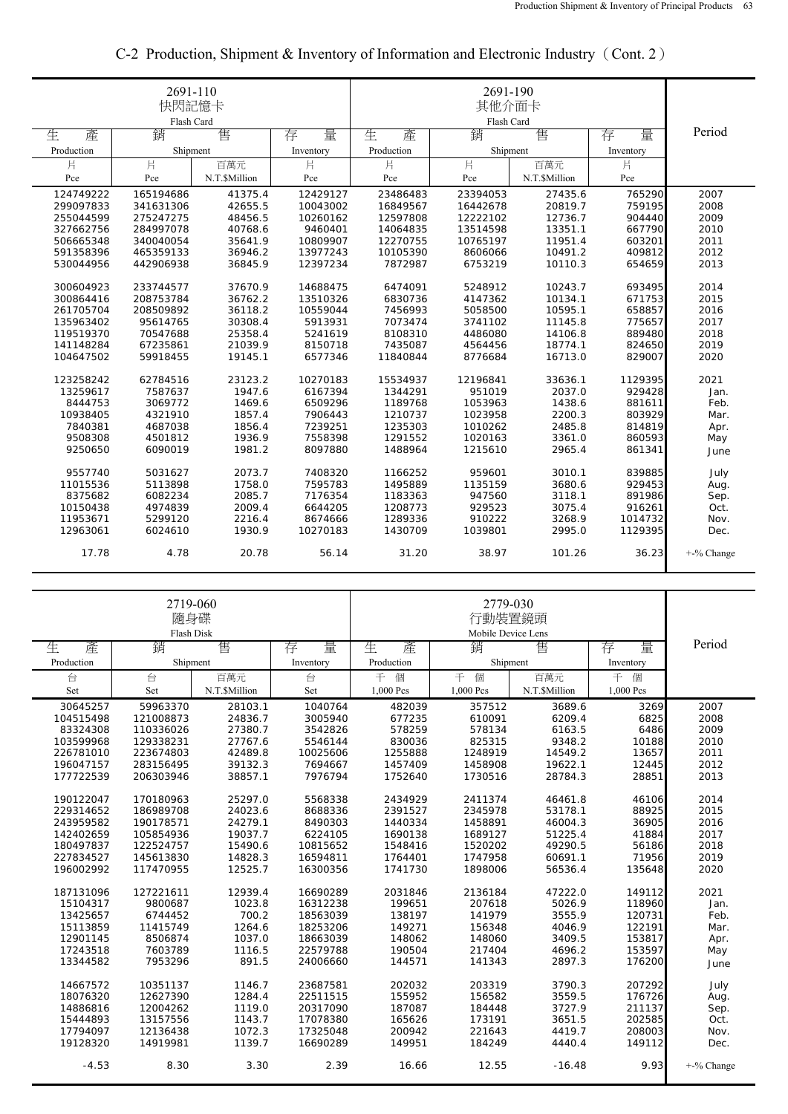|            | 2691-110<br>快閃記憶卡<br>Flash Card |              |           |            |          |               |           |               |
|------------|---------------------------------|--------------|-----------|------------|----------|---------------|-----------|---------------|
| 生<br>產     | 銷                               | 售            | 量<br>存    | 生<br>產     | 銷        | 售             | 量<br>存    | Period        |
| Production | Shipment                        |              | Inventory | Production | Shipment |               | Inventory |               |
| 片          | 片                               | 百萬元          | 片         | 片          | 片        | 百萬元           | 片         |               |
| Pce        | Pce                             | N.T.SMillion | Pce       | Pce        | Pce      | N.T.\$Million | Pce       |               |
| 124749222  | 165194686                       | 41375.4      | 12429127  | 23486483   | 23394053 | 27435.6       | 765290    | 2007          |
| 299097833  | 341631306                       | 42655.5      | 10043002  | 16849567   | 16442678 | 20819.7       | 759195    | 2008          |
| 255044599  | 275247275                       | 48456.5      | 10260162  | 12597808   | 12222102 | 12736.7       | 904440    | 2009          |
| 327662756  | 284997078                       | 40768.6      | 9460401   | 14064835   | 13514598 | 13351.1       | 667790    | 2010          |
| 506665348  | 340040054                       | 35641.9      | 10809907  | 12270755   | 10765197 | 11951.4       | 603201    | 2011          |
| 591358396  | 465359133                       | 36946.2      | 13977243  | 10105390   | 8606066  | 10491.2       | 409812    | 2012          |
| 530044956  | 442906938                       | 36845.9      | 12397234  | 7872987    | 6753219  | 10110.3       | 654659    | 2013          |
| 300604923  | 233744577                       | 37670.9      | 14688475  | 6474091    | 5248912  | 10243.7       | 693495    | 2014          |
| 300864416  | 208753784                       | 36762.2      | 13510326  | 6830736    | 4147362  | 10134.1       | 671753    | 2015          |
| 261705704  | 208509892                       | 36118.2      | 10559044  | 7456993    | 5058500  | 10595.1       | 658857    | 2016          |
| 135963402  | 95614765                        | 30308.4      | 5913931   | 7073474    | 3741102  | 11145.8       | 775657    | 2017          |
| 119519370  | 70547688                        | 25358.4      | 5241619   | 8108310    | 4486080  | 14106.8       | 889480    | 2018          |
| 141148284  | 67235861                        | 21039.9      | 8150718   | 7435087    | 4564456  | 18774.1       | 824650    | 2019          |
| 104647502  | 59918455                        | 19145.1      | 6577346   | 11840844   | 8776684  | 16713.0       | 829007    | 2020          |
| 123258242  | 62784516                        | 23123.2      | 10270183  | 15534937   | 12196841 | 33636.1       | 1129395   | 2021          |
| 13259617   | 7587637                         | 1947.6       | 6167394   | 1344291    | 951019   | 2037.0        | 929428    | Jan.          |
| 8444753    | 3069772                         | 1469.6       | 6509296   | 1189768    | 1053963  | 1438.6        | 881611    | Feb.          |
| 10938405   | 4321910                         | 1857.4       | 7906443   | 1210737    | 1023958  | 2200.3        | 803929    | Mar.          |
| 7840381    | 4687038                         | 1856.4       | 7239251   | 1235303    | 1010262  | 2485.8        | 814819    | Apr.          |
| 9508308    | 4501812                         | 1936.9       | 7558398   | 1291552    | 1020163  | 3361.0        | 860593    | May           |
| 9250650    | 6090019                         | 1981.2       | 8097880   | 1488964    | 1215610  | 2965.4        | 861341    | June          |
| 9557740    | 5031627                         | 2073.7       | 7408320   | 1166252    | 959601   | 3010.1        | 839885    | July          |
| 11015536   | 5113898                         | 1758.0       | 7595783   | 1495889    | 1135159  | 3680.6        | 929453    | Aug.          |
| 8375682    | 6082234                         | 2085.7       | 7176354   | 1183363    | 947560   | 3118.1        | 891986    | Sep.          |
| 10150438   | 4974839                         | 2009.4       | 6644205   | 1208773    | 929523   | 3075.4        | 916261    | Oct.          |
| 11953671   | 5299120                         | 2216.4       | 8674666   | 1289336    | 910222   | 3268.9        | 1014732   | Nov.          |
| 12963061   | 6024610                         | 1930.9       | 10270183  | 1430709    | 1039801  | 2995.0        | 1129395   | Dec.          |
| 17.78      | 4.78                            | 20.78        | 56.14     | 31.20      | 38.97    | 101.26        | 36.23     | $+$ -% Change |

## C-2 Production, Shipment & Inventory of Information and Electronic Industry(Cont. 2)

|            | 2719-060<br>隨身碟<br>Flash Disk |               |           |            |               |               |           |               |
|------------|-------------------------------|---------------|-----------|------------|---------------|---------------|-----------|---------------|
| 生<br>產     | 銷                             | 售             | 量<br>存    | 生<br>產     | 銷             | 售             | 量<br>存    | Period        |
| Production | Shipment                      |               | Inventory | Production | Shipment      |               | Inventory |               |
| 台          | 台                             | 百萬元           | 台         | 千個         | 百萬元<br>千<br>個 |               | 千<br>個    |               |
| Set        | Set                           | N.T.\$Million | Set       | 1,000 Pcs  | 1,000 Pcs     | N.T.\$Million | 1,000 Pcs |               |
| 30645257   | 59963370                      | 28103.1       | 1040764   | 482039     | 357512        | 3689.6        | 3269      | 2007          |
| 104515498  | 121008873                     | 24836.7       | 3005940   | 677235     | 610091        | 6209.4        | 6825      | 2008          |
| 83324308   | 110336026                     | 27380.7       | 3542826   | 578259     | 578134        | 6163.5        | 6486      | 2009          |
| 103599968  | 129338231                     | 27767.6       | 5546144   | 830036     | 825315        | 9348.2        | 10188     | 2010          |
| 226781010  | 223674803                     | 42489.8       | 10025606  | 1255888    | 1248919       | 14549.2       | 13657     | 2011          |
| 196047157  | 283156495                     | 39132.3       | 7694667   | 1457409    | 1458908       | 19622.1       | 12445     | 2012          |
| 177722539  | 206303946                     | 38857.1       | 7976794   | 1752640    | 1730516       | 28784.3       | 28851     | 2013          |
| 190122047  | 170180963                     | 25297.0       | 5568338   | 2434929    | 2411374       | 46461.8       | 46106     | 2014          |
| 229314652  | 186989708                     | 24023.6       | 8688336   | 2391527    | 2345978       | 53178.1       | 88925     | 2015          |
| 243959582  | 190178571                     | 24279.1       | 8490303   | 1440334    | 1458891       | 46004.3       | 36905     | 2016          |
| 142402659  | 105854936                     | 19037.7       | 6224105   | 1690138    | 1689127       | 51225.4       | 41884     | 2017          |
| 180497837  | 122524757                     | 15490.6       | 10815652  | 1548416    | 1520202       | 49290.5       | 56186     | 2018          |
| 227834527  | 145613830                     | 14828.3       | 16594811  | 1764401    | 1747958       | 60691.1       | 71956     | 2019          |
| 196002992  | 117470955                     | 12525.7       | 16300356  | 1741730    | 1898006       | 56536.4       | 135648    | 2020          |
|            |                               |               |           |            |               |               |           |               |
| 187131096  | 127221611                     | 12939.4       | 16690289  | 2031846    | 2136184       | 47222.0       | 149112    | 2021          |
| 15104317   | 9800687                       | 1023.8        | 16312238  | 199651     | 207618        | 5026.9        | 118960    | Jan.          |
| 13425657   | 6744452                       | 700.2         | 18563039  | 138197     | 141979        | 3555.9        | 120731    | Feb.          |
| 15113859   | 11415749                      | 1264.6        | 18253206  | 149271     | 156348        | 4046.9        | 122191    | Mar.          |
| 12901145   | 8506874                       | 1037.0        | 18663039  | 148062     | 148060        | 3409.5        | 153817    | Apr.          |
| 17243518   | 7603789                       | 1116.5        | 22579788  | 190504     | 217404        | 4696.2        | 153597    | May           |
| 13344582   | 7953296                       | 891.5         | 24006660  | 144571     | 141343        | 2897.3        | 176200    | June          |
| 14667572   | 10351137                      | 1146.7        | 23687581  | 202032     | 203319        | 3790.3        | 207292    | July          |
| 18076320   | 12627390                      | 1284.4        | 22511515  | 155952     | 156582        | 3559.5        | 176726    | Aug.          |
| 14886816   | 12004262                      | 1119.0        | 20317090  | 187087     | 184448        | 3727.9        | 211137    | Sep.          |
| 15444893   | 13157556                      | 1143.7        | 17078380  | 165626     | 173191        | 3651.5        | 202585    | Oct.          |
| 17794097   | 12136438                      | 1072.3        | 17325048  | 200942     | 221643        | 4419.7        | 208003    | Nov.          |
| 19128320   | 14919981                      | 1139.7        | 16690289  | 149951     | 184249        | 4440.4        | 149112    | Dec.          |
| $-4.53$    | 8.30                          | 3.30          | 2.39      | 16.66      | 12.55         | $-16.48$      | 9.93      | $+$ -% Change |